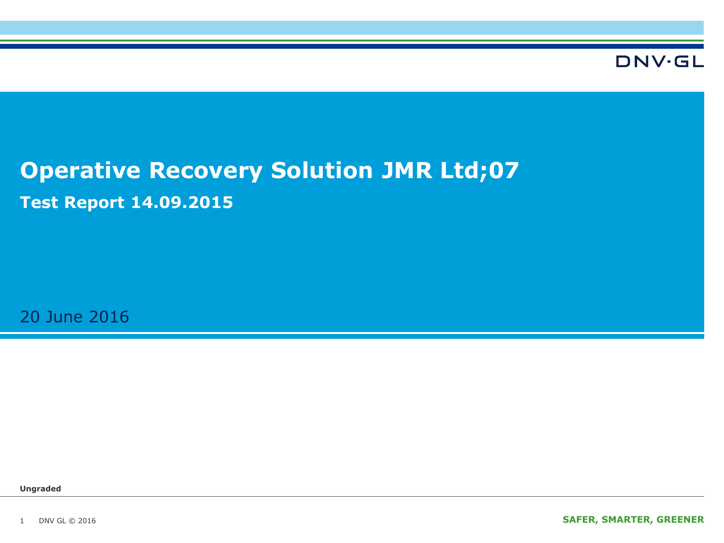

# **Operative Recovery Solution JMR Ltd;07 Test Report 14.09.2015**

20 June 2016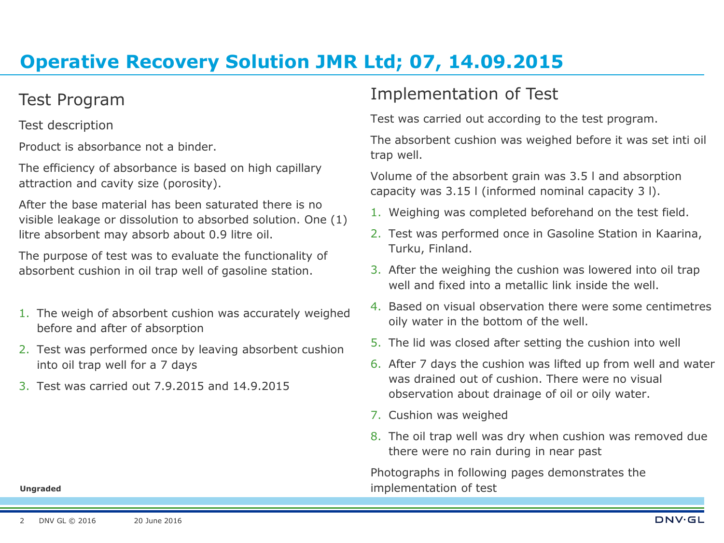### Test Program

Test description

Product is absorbance not a binder.

The efficiency of absorbance is based on high capillary attraction and cavity size (porosity).

After the base material has been saturated there is no visible leakage or dissolution to absorbed solution. One (1) litre absorbent may absorb about 0.9 litre oil.

The purpose of test was to evaluate the functionality of absorbent cushion in oil trap well of gasoline station.

- 1. The weigh of absorbent cushion was accurately weighed before and after of absorption
- 2. Test was performed once by leaving absorbent cushion into oil trap well for a 7 days
- 3. Test was carried out 7.9.2015 and 14.9.2015

### Implementation of Test

Test was carried out according to the test program.

The absorbent cushion was weighed before it was set inti oil trap well.

Volume of the absorbent grain was 3.5 l and absorption capacity was 3.15 l (informed nominal capacity 3 l).

- 1. Weighing was completed beforehand on the test field.
- 2. Test was performed once in Gasoline Station in Kaarina, Turku, Finland.
- 3. After the weighing the cushion was lowered into oil trap well and fixed into a metallic link inside the well.
- 4. Based on visual observation there were some centimetres oily water in the bottom of the well.
- 5. The lid was closed after setting the cushion into well
- 6. After 7 days the cushion was lifted up from well and water was drained out of cushion. There were no visual observation about drainage of oil or oily water.
- 7. Cushion was weighed
- 8. The oil trap well was dry when cushion was removed due there were no rain during in near past

Photographs in following pages demonstrates the implementation of test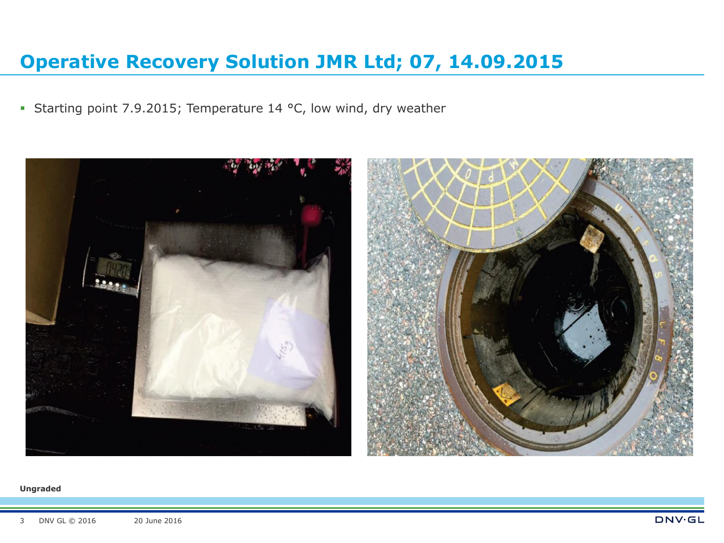Starting point 7.9.2015; Temperature 14 °C, low wind, dry weather

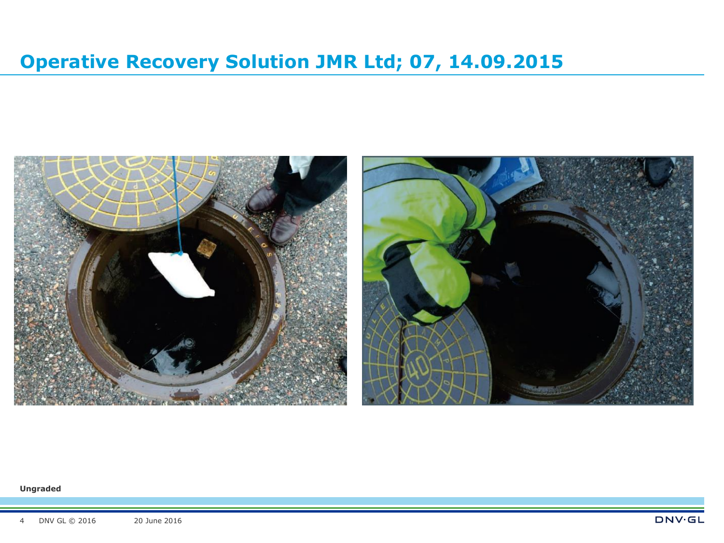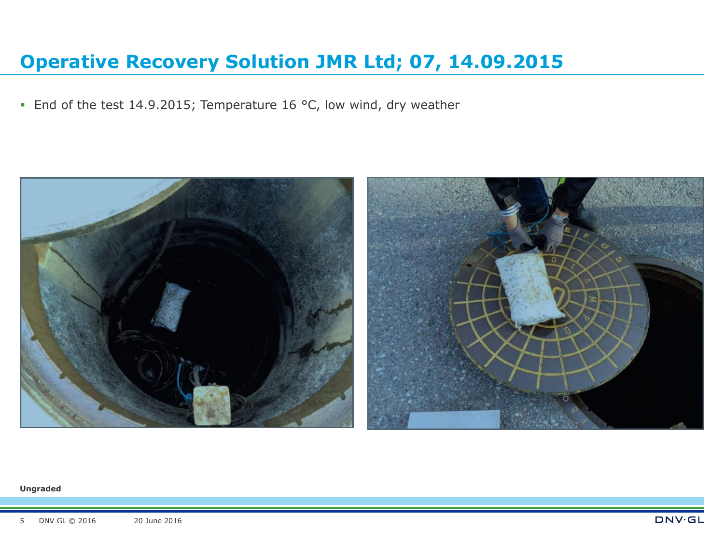• End of the test 14.9.2015; Temperature 16 °C, low wind, dry weather

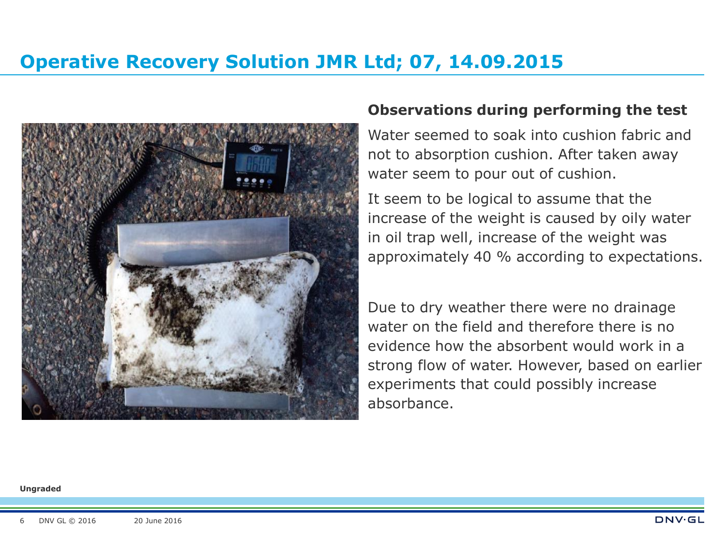

### **Observations during performing the test**

Water seemed to soak into cushion fabric and not to absorption cushion. After taken away water seem to pour out of cushion.

It seem to be logical to assume that the increase of the weight is caused by oily water in oil trap well, increase of the weight was approximately 40 % according to expectations.

Due to dry weather there were no drainage water on the field and therefore there is no evidence how the absorbent would work in a strong flow of water. However, based on earlier experiments that could possibly increase absorbance.